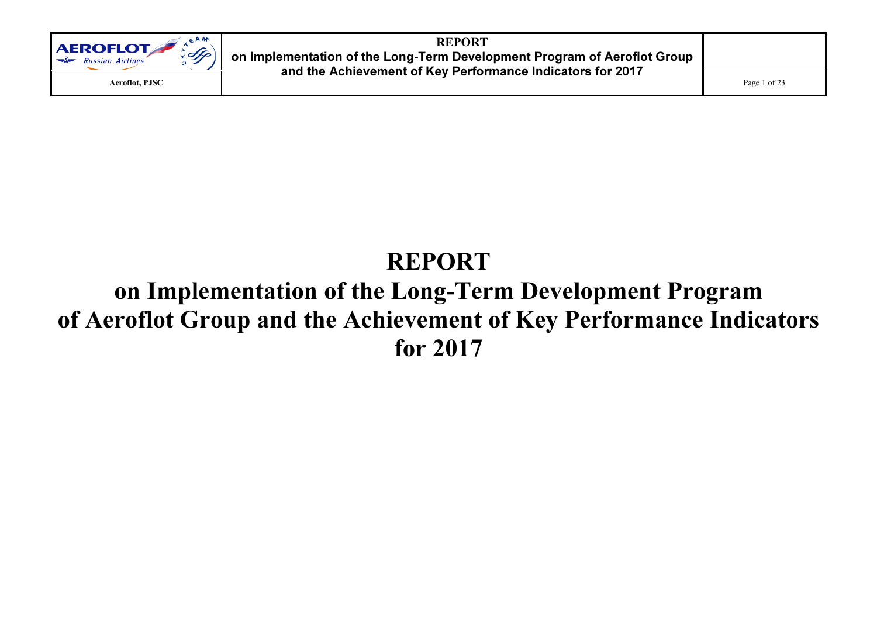

# REPORT on Implementation of the Long-Term Development Program of Aeroflot Group and the Achievement of Key Performance Indicators for 2017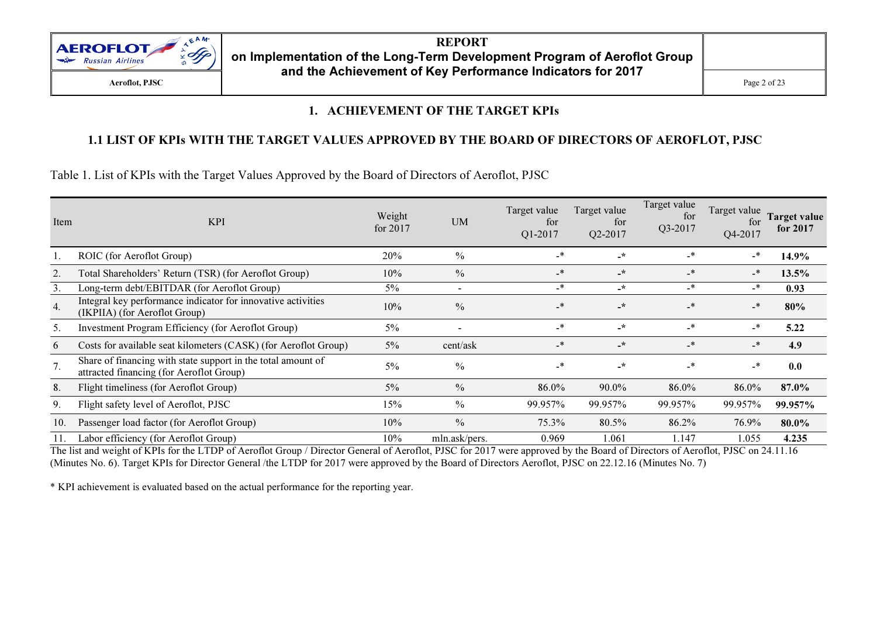

#### 1. ACHIEVEMENT OF THE TARGET KPIs

### 1.1 LIST OF KPIs WITH THE TARGET VALUES APPROVED BY THE BOARD OF DIRECTORS OF AEROFLOT, PJSC

Table 1. List of KPIs with the Target Values Approved by the Board of Directors of Aeroflot, PJSC

| Item | <b>KPI</b>                                                                                               | Weight<br>for $2017$ | <b>UM</b>                | Target value<br>for<br>Q1-2017 | Target value<br>for<br>Q2-2017 | Target value<br>for<br>Q3-2017 | Target value<br>for<br>Q4-2017 | <b>Target value</b><br>for 2017 |
|------|----------------------------------------------------------------------------------------------------------|----------------------|--------------------------|--------------------------------|--------------------------------|--------------------------------|--------------------------------|---------------------------------|
|      | ROIC (for Aeroflot Group)                                                                                | 20%                  | $\%$                     | _*                             | $\cdot$                        | _*                             | _*                             | 14.9%                           |
|      | Total Shareholders' Return (TSR) (for Aeroflot Group)                                                    | 10%                  | $\frac{0}{0}$            | $\overline{\phantom{a}}$       | $-\star$                       | $_{\star}$                     | _*                             | 13.5%                           |
| 3.   | Long-term debt/EBITDAR (for Aeroflot Group)                                                              | $5\%$                | $\overline{\phantom{0}}$ | _*                             | $-$ *                          | $\cdot$                        | _*                             | 0.93                            |
| 4.   | Integral key performance indicator for innovative activities<br>(IKPIIA) (for Aeroflot Group)            | 10%                  | $\frac{0}{0}$            | $\overline{\phantom{a}}$       | $\star$                        | $_{\star}$                     | $_{\star}$                     | 80%                             |
| 5.   | Investment Program Efficiency (for Aeroflot Group)                                                       | $5\%$                |                          | _*                             | $\star$                        | $\cdot$                        | -*                             | 5.22                            |
| 6    | Costs for available seat kilometers (CASK) (for Aeroflot Group)                                          | $5\%$                | cent/ask                 | _*                             | $\cdot$                        | $_{\star}$                     | $_{\star}$                     | 4.9                             |
| 7.   | Share of financing with state support in the total amount of<br>attracted financing (for Aeroflot Group) | $5\%$                | $\frac{0}{0}$            | _*                             | $\cdot$ *                      | $\overline{\phantom{a}}$       | $\cdot$                        | 0.0                             |
| 8.   | Flight timeliness (for Aeroflot Group)                                                                   | $5\%$                | $\frac{0}{0}$            | 86.0%                          | 90.0%                          | 86.0%                          | 86.0%                          | 87.0%                           |
| 9.   | Flight safety level of Aeroflot, PJSC                                                                    | 15%                  | $\frac{0}{0}$            | 99.957%                        | 99.957%                        | 99.957%                        | 99.957%                        | 99.957%                         |
| 10.  | Passenger load factor (for Aeroflot Group)                                                               | 10%                  | $\frac{0}{0}$            | 75.3%                          | 80.5%                          | 86.2%                          | 76.9%                          | 80.0%                           |
| 11.  | Labor efficiency (for Aeroflot Group)                                                                    | 10%                  | mln.ask/pers.            | 0.969                          | 1.061                          | 1.147                          | 1.055                          | 4.235                           |

The list and weight of KPIs for the LTDP of Aeroflot Group / Director General of Aeroflot, PJSC for 2017 were approved by the Board of Directors of Aeroflot, PJSC on 24.11.16 (Minutes No. 6). Target KPIs for Director General /the LTDP for 2017 were approved by the Board of Directors Aeroflot, PJSC on 22.12.16 (Minutes No. 7)

\* KPI achievement is evaluated based on the actual performance for the reporting year.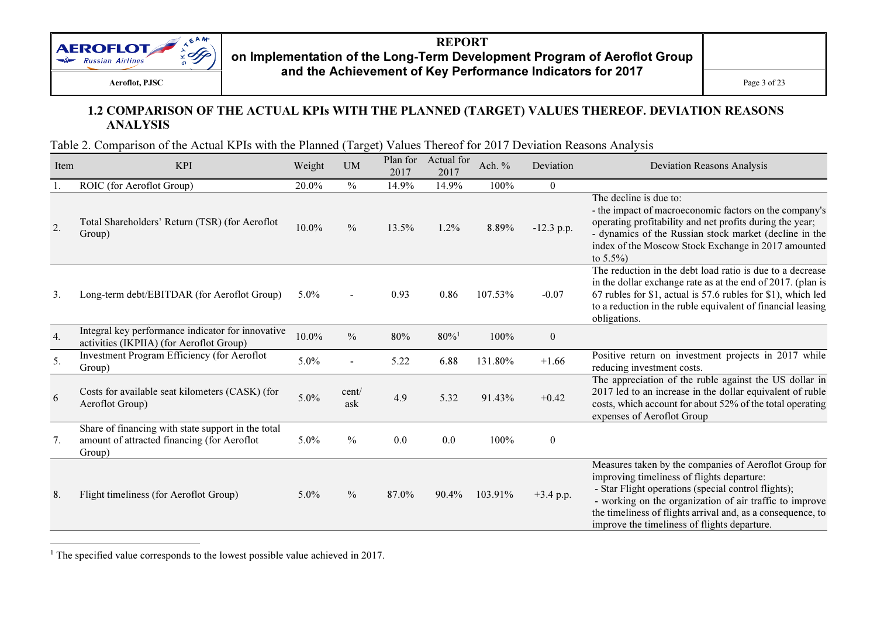

#### 1.2 COMPARISON OF THE ACTUAL KPIs WITH THE PLANNED (TARGET) VALUES THEREOF. DEVIATION REASONS ANALYSIS

Table 2. Comparison of the Actual KPIs with the Planned (Target) Values Thereof for 2017 Deviation Reasons Analysis

| Item             | <b>KPI</b>                                                                                                  | Weight  | <b>UM</b>     | Plan for<br>2017 | Actual for<br>2017  | Ach. %  | Deviation        | <b>Deviation Reasons Analysis</b>                                                                                                                                                                                                                                                                                                    |
|------------------|-------------------------------------------------------------------------------------------------------------|---------|---------------|------------------|---------------------|---------|------------------|--------------------------------------------------------------------------------------------------------------------------------------------------------------------------------------------------------------------------------------------------------------------------------------------------------------------------------------|
|                  | ROIC (for Aeroflot Group)                                                                                   | 20.0%   | $\frac{0}{0}$ | 14.9%            | 14.9%               | 100%    | $\bf{0}$         |                                                                                                                                                                                                                                                                                                                                      |
| 2.               | Total Shareholders' Return (TSR) (for Aeroflot<br>Group)                                                    | 10.0%   | $\frac{0}{0}$ | 13.5%            | $1.2\%$             | 8.89%   | $-12.3$ p.p.     | The decline is due to:<br>- the impact of macroeconomic factors on the company's<br>operating profitability and net profits during the year;<br>- dynamics of the Russian stock market (decline in the<br>index of the Moscow Stock Exchange in 2017 amounted<br>to $5.5\%$ )                                                        |
| 3.               | Long-term debt/EBITDAR (for Aeroflot Group)                                                                 | $5.0\%$ |               | 0.93             | 0.86                | 107.53% | $-0.07$          | The reduction in the debt load ratio is due to a decrease<br>in the dollar exchange rate as at the end of 2017. (plan is<br>67 rubles for \$1, actual is 57.6 rubles for \$1), which led<br>to a reduction in the ruble equivalent of financial leasing<br>obligations.                                                              |
| $\overline{4}$ . | Integral key performance indicator for innovative<br>activities (IKPIIA) (for Aeroflot Group)               | 10.0%   | $\frac{0}{0}$ | 80%              | $80\%$ <sup>1</sup> | 100%    | $\boldsymbol{0}$ |                                                                                                                                                                                                                                                                                                                                      |
| 5.               | <b>Investment Program Efficiency (for Aeroflot</b><br>Group)                                                | 5.0%    |               | 5.22             | 6.88                | 131.80% | $+1.66$          | Positive return on investment projects in 2017 while<br>reducing investment costs.                                                                                                                                                                                                                                                   |
| 6                | Costs for available seat kilometers (CASK) (for<br>Aeroflot Group)                                          | 5.0%    | cent/<br>ask  | 4.9              | 5.32                | 91.43%  | $+0.42$          | The appreciation of the ruble against the US dollar in<br>2017 led to an increase in the dollar equivalent of ruble<br>costs, which account for about 52% of the total operating<br>expenses of Aeroflot Group                                                                                                                       |
| 7.               | Share of financing with state support in the total<br>amount of attracted financing (for Aeroflot<br>Group) | $5.0\%$ | $\frac{0}{0}$ | 0.0              | 0.0                 | 100%    | $\boldsymbol{0}$ |                                                                                                                                                                                                                                                                                                                                      |
| 8.               | Flight timeliness (for Aeroflot Group)                                                                      | $5.0\%$ | $\frac{0}{0}$ | 87.0%            | 90.4%               | 103.91% | $+3.4$ p.p.      | Measures taken by the companies of Aeroflot Group for<br>improving timeliness of flights departure:<br>- Star Flight operations (special control flights);<br>- working on the organization of air traffic to improve<br>the timeliness of flights arrival and, as a consequence, to<br>improve the timeliness of flights departure. |

<sup>1</sup> The specified value corresponds to the lowest possible value achieved in 2017.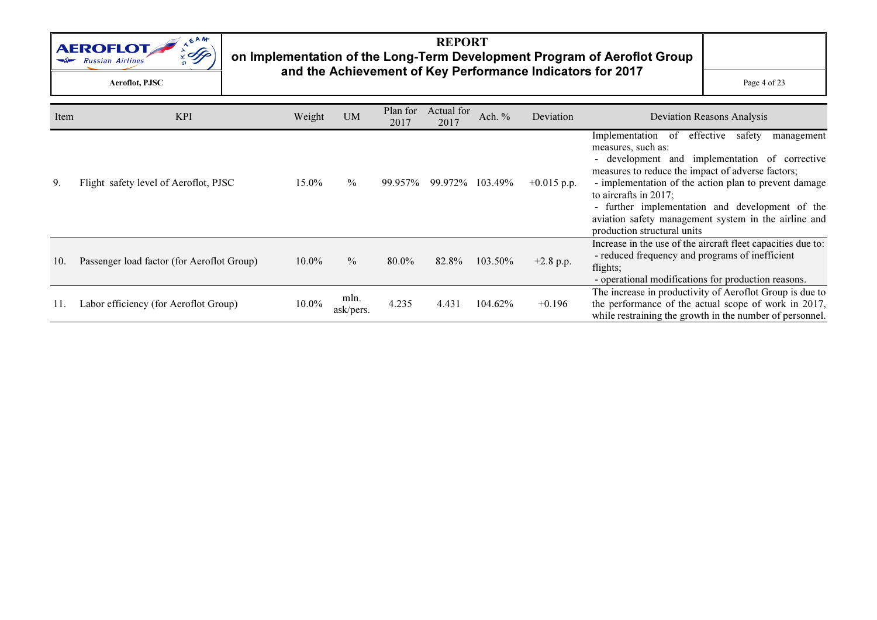

## REPORT on Implementation of the Long-Term Development Program of Aeroflot Group and the Achievement of Key Performance Indicators for 2017

 $\mathbf{C}$  Page 4 of 23

| Item | <b>KPI</b>                                 | Weight   | <b>UM</b>         | Plan for<br>2017 | Actual for<br>2017 | Ach. %            | Deviation     | <b>Deviation Reasons Analysis</b>                                                                                                                                                                                                                                                                                                                                                                                  |
|------|--------------------------------------------|----------|-------------------|------------------|--------------------|-------------------|---------------|--------------------------------------------------------------------------------------------------------------------------------------------------------------------------------------------------------------------------------------------------------------------------------------------------------------------------------------------------------------------------------------------------------------------|
| 9.   | Flight safety level of Aeroflot, PJSC      | 15.0%    | $\%$              | 99.957%          |                    | 99.972\% 103.49\% | $+0.015$ p.p. | effective<br>Implementation of<br>safety<br>management<br>measures, such as:<br>- development and implementation of corrective<br>measures to reduce the impact of adverse factors;<br>- implementation of the action plan to prevent damage<br>to aircrafts in $2017$ ;<br>- further implementation and development of the<br>aviation safety management system in the airline and<br>production structural units |
| 10.  | Passenger load factor (for Aeroflot Group) | $10.0\%$ | $\frac{0}{0}$     | 80.0%            | 82.8%              | 103.50%           | $+2.8$ p.p.   | Increase in the use of the aircraft fleet capacities due to:<br>- reduced frequency and programs of inefficient<br>flights;<br>- operational modifications for production reasons.                                                                                                                                                                                                                                 |
|      | Labor efficiency (for Aeroflot Group)      | 10.0%    | mln.<br>ask/pers. | 4.235            | 4.431              | 104.62%           | $+0.196$      | The increase in productivity of Aeroflot Group is due to<br>the performance of the actual scope of work in 2017,<br>while restraining the growth in the number of personnel.                                                                                                                                                                                                                                       |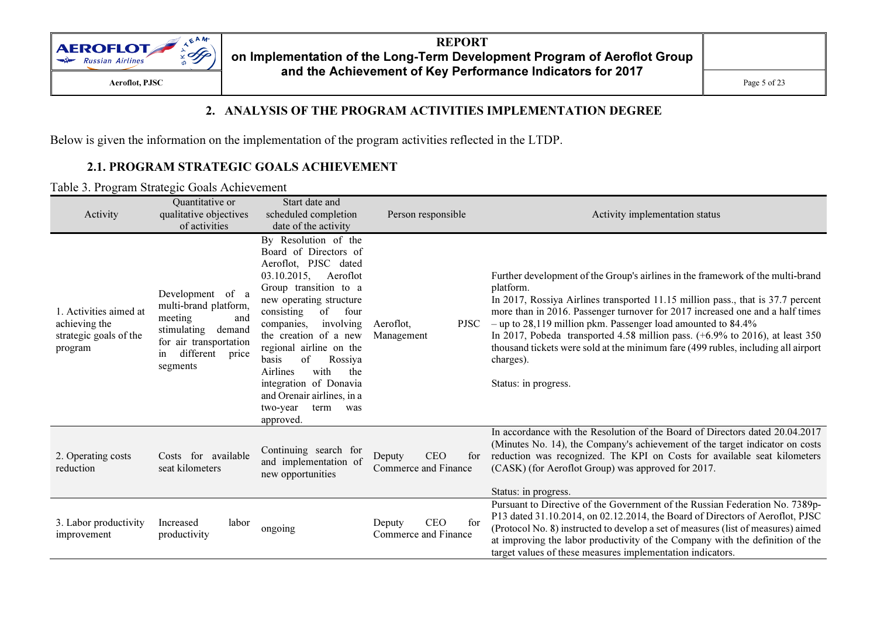

#### 2. ANALYSIS OF THE PROGRAM ACTIVITIES IMPLEMENTATION DEGREE

Below is given the information on the implementation of the program activities reflected in the LTDP.

#### 2.1. PROGRAM STRATEGIC GOALS ACHIEVEMENT

#### Table 3. Program Strategic Goals Achievement

| Activity                                                                     | Quantitative or<br>qualitative objectives<br>of activities                                                                                          | Start date and<br>scheduled completion<br>date of the activity                                                                                                                                                                                                                                                                                                                                                                                  | Person responsible                                  | Activity implementation status                                                                                                                                                                                                                                                                                                                                                                                                                                                                                                                                 |
|------------------------------------------------------------------------------|-----------------------------------------------------------------------------------------------------------------------------------------------------|-------------------------------------------------------------------------------------------------------------------------------------------------------------------------------------------------------------------------------------------------------------------------------------------------------------------------------------------------------------------------------------------------------------------------------------------------|-----------------------------------------------------|----------------------------------------------------------------------------------------------------------------------------------------------------------------------------------------------------------------------------------------------------------------------------------------------------------------------------------------------------------------------------------------------------------------------------------------------------------------------------------------------------------------------------------------------------------------|
| 1. Activities aimed at<br>achieving the<br>strategic goals of the<br>program | Development of a<br>multi-brand platform,<br>meeting<br>and<br>stimulating demand<br>for air transportation<br>different<br>price<br>in<br>segments | By Resolution of the<br>Board of Directors of<br>Aeroflot, PJSC dated<br>03.10.2015,<br>Aeroflot<br>Group transition to a<br>new operating structure<br>consisting<br>of<br>four<br>involving<br>Aeroflot,<br>companies.<br>the creation of a new<br>Management<br>regional airline on the<br>of<br>basis<br>Rossiya<br>with<br>Airlines<br>the<br>integration of Donavia<br>and Orenair airlines, in a<br>two-year<br>term<br>was<br>approved. |                                                     | Further development of the Group's airlines in the framework of the multi-brand<br>platform.<br>In 2017, Rossiya Airlines transported 11.15 million pass., that is 37.7 percent<br>more than in 2016. Passenger turnover for 2017 increased one and a half times<br>$-$ up to 28,119 million pkm. Passenger load amounted to 84.4%<br><b>PJSC</b><br>In 2017, Pobeda transported 4.58 million pass. $(+6.9\%$ to 2016), at least 350<br>thousand tickets were sold at the minimum fare (499 rubles, including all airport<br>charges).<br>Status: in progress. |
| 2. Operating costs<br>reduction                                              | Costs for available<br>seat kilometers                                                                                                              | Continuing search for<br>and implementation of<br>new opportunities                                                                                                                                                                                                                                                                                                                                                                             | <b>CEO</b><br>Deputy<br>for<br>Commerce and Finance | In accordance with the Resolution of the Board of Directors dated 20.04.2017<br>(Minutes No. 14), the Company's achievement of the target indicator on costs<br>reduction was recognized. The KPI on Costs for available seat kilometers<br>(CASK) (for Aeroflot Group) was approved for 2017.<br>Status: in progress.                                                                                                                                                                                                                                         |
| 3. Labor productivity<br>improvement                                         | Increased<br>labor<br>productivity                                                                                                                  | ongoing                                                                                                                                                                                                                                                                                                                                                                                                                                         | <b>CEO</b><br>for<br>Deputy<br>Commerce and Finance | Pursuant to Directive of the Government of the Russian Federation No. 7389p-<br>P13 dated 31.10.2014, on 02.12.2014, the Board of Directors of Aeroflot, PJSC<br>(Protocol No. 8) instructed to develop a set of measures (list of measures) aimed<br>at improving the labor productivity of the Company with the definition of the<br>target values of these measures implementation indicators.                                                                                                                                                              |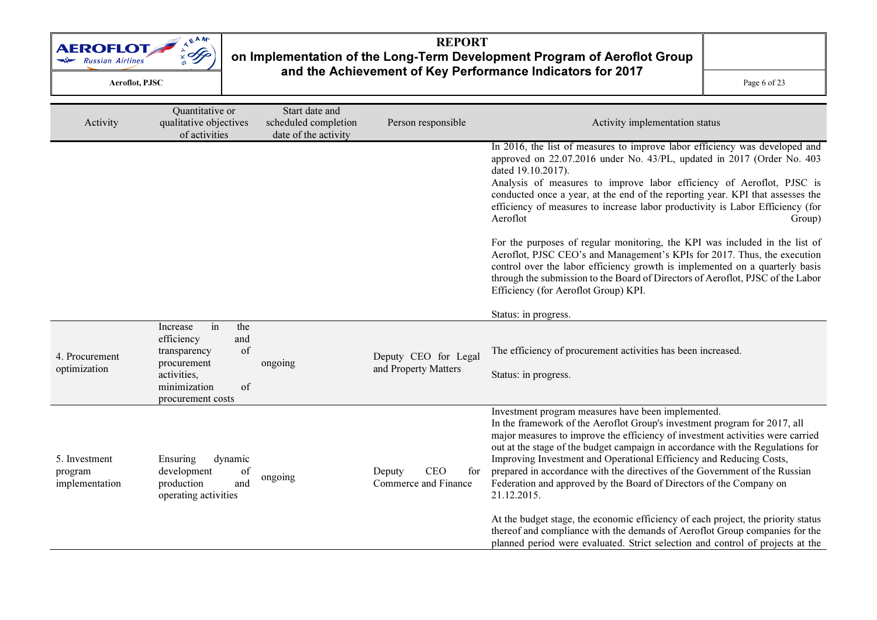

### REPORT on Implementation of the Long-Term Development Program of Aeroflot Group and the Achievement of Key Performance Indicators for 2017  $\mathbf{C}$  Page 6 of 23

| Activity                                   | Quantitative or<br>qualitative objectives<br>of activities                                                                                | Start date and<br>scheduled completion<br>date of the activity | Person responsible                                  | Activity implementation status                                                                                                                                                                                                                                                                                                                                                                                                                                                                                                                                                                                                       |
|--------------------------------------------|-------------------------------------------------------------------------------------------------------------------------------------------|----------------------------------------------------------------|-----------------------------------------------------|--------------------------------------------------------------------------------------------------------------------------------------------------------------------------------------------------------------------------------------------------------------------------------------------------------------------------------------------------------------------------------------------------------------------------------------------------------------------------------------------------------------------------------------------------------------------------------------------------------------------------------------|
|                                            |                                                                                                                                           |                                                                |                                                     | In 2016, the list of measures to improve labor efficiency was developed and<br>approved on 22.07.2016 under No. 43/PL, updated in 2017 (Order No. 403<br>dated 19.10.2017).<br>Analysis of measures to improve labor efficiency of Aeroflot, PJSC is<br>conducted once a year, at the end of the reporting year. KPI that assesses the<br>efficiency of measures to increase labor productivity is Labor Efficiency (for<br>Aeroflot<br>Group)                                                                                                                                                                                       |
|                                            |                                                                                                                                           |                                                                |                                                     | For the purposes of regular monitoring, the KPI was included in the list of<br>Aeroflot, PJSC CEO's and Management's KPIs for 2017. Thus, the execution<br>control over the labor efficiency growth is implemented on a quarterly basis<br>through the submission to the Board of Directors of Aeroflot, PJSC of the Labor<br>Efficiency (for Aeroflot Group) KPI.                                                                                                                                                                                                                                                                   |
|                                            |                                                                                                                                           |                                                                |                                                     | Status: in progress.                                                                                                                                                                                                                                                                                                                                                                                                                                                                                                                                                                                                                 |
| 4. Procurement<br>optimization             | in<br>the<br>Increase<br>efficiency<br>and<br>of<br>transparency<br>procurement<br>activities,<br>minimization<br>of<br>procurement costs | ongoing                                                        | Deputy CEO for Legal<br>and Property Matters        | The efficiency of procurement activities has been increased.<br>Status: in progress.                                                                                                                                                                                                                                                                                                                                                                                                                                                                                                                                                 |
| 5. Investment<br>program<br>implementation | dynamic<br>Ensuring<br>development<br>of<br>production<br>and<br>operating activities                                                     | ongoing                                                        | <b>CEO</b><br>for<br>Deputy<br>Commerce and Finance | Investment program measures have been implemented.<br>In the framework of the Aeroflot Group's investment program for 2017, all<br>major measures to improve the efficiency of investment activities were carried<br>out at the stage of the budget campaign in accordance with the Regulations for<br>Improving Investment and Operational Efficiency and Reducing Costs,<br>prepared in accordance with the directives of the Government of the Russian<br>Federation and approved by the Board of Directors of the Company on<br>21.12.2015.<br>At the budget stage, the economic efficiency of each project, the priority status |
|                                            |                                                                                                                                           |                                                                |                                                     | thereof and compliance with the demands of Aeroflot Group companies for the<br>planned period were evaluated. Strict selection and control of projects at the                                                                                                                                                                                                                                                                                                                                                                                                                                                                        |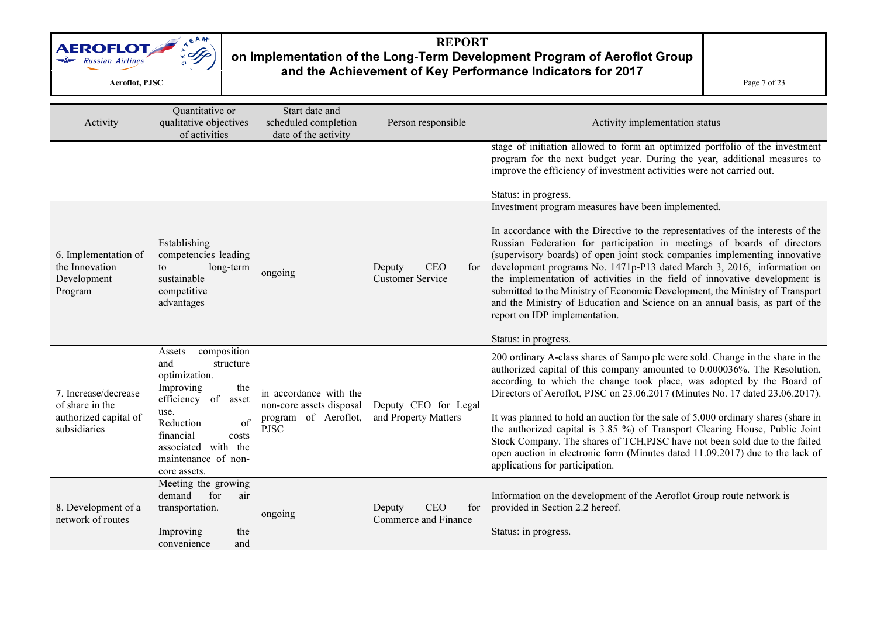

### REPORT on Implementation of the Long-Term Development Program of Aeroflot Group and the Achievement of Key Performance Indicators for 2017  $\mathbf{C}$  Page 7 of 23

| Activity                                                         | Quantitative or<br>qualitative objectives<br>of activities                                                                                             | Start date and<br>scheduled completion<br>date of the activity | Person responsible                                     | Activity implementation status                                                                                                                                                                                                                                                                                                                                                                                                                                                                                                                                                                    |
|------------------------------------------------------------------|--------------------------------------------------------------------------------------------------------------------------------------------------------|----------------------------------------------------------------|--------------------------------------------------------|---------------------------------------------------------------------------------------------------------------------------------------------------------------------------------------------------------------------------------------------------------------------------------------------------------------------------------------------------------------------------------------------------------------------------------------------------------------------------------------------------------------------------------------------------------------------------------------------------|
|                                                                  |                                                                                                                                                        |                                                                |                                                        | stage of initiation allowed to form an optimized portfolio of the investment<br>program for the next budget year. During the year, additional measures to<br>improve the efficiency of investment activities were not carried out.                                                                                                                                                                                                                                                                                                                                                                |
|                                                                  |                                                                                                                                                        |                                                                |                                                        | Status: in progress.                                                                                                                                                                                                                                                                                                                                                                                                                                                                                                                                                                              |
|                                                                  |                                                                                                                                                        |                                                                |                                                        | Investment program measures have been implemented.                                                                                                                                                                                                                                                                                                                                                                                                                                                                                                                                                |
| 6. Implementation of<br>the Innovation<br>Development<br>Program | Establishing<br>competencies leading<br>to<br>long-term<br>sustainable<br>competitive<br>advantages                                                    | ongoing                                                        | <b>CEO</b><br>Deputy<br>for<br><b>Customer Service</b> | In accordance with the Directive to the representatives of the interests of the<br>Russian Federation for participation in meetings of boards of directors<br>(supervisory boards) of open joint stock companies implementing innovative<br>development programs No. 1471p-P13 dated March 3, 2016, information on<br>the implementation of activities in the field of innovative development is<br>submitted to the Ministry of Economic Development, the Ministry of Transport<br>and the Ministry of Education and Science on an annual basis, as part of the<br>report on IDP implementation. |
|                                                                  |                                                                                                                                                        |                                                                |                                                        | Status: in progress.                                                                                                                                                                                                                                                                                                                                                                                                                                                                                                                                                                              |
| 7. Increase/decrease<br>of share in the                          | composition<br>Assets<br>and<br>structure<br>optimization.<br>Improving<br>the<br>efficiency of<br>asset                                               | in accordance with the                                         | Deputy CEO for Legal                                   | 200 ordinary A-class shares of Sampo plc were sold. Change in the share in the<br>authorized capital of this company amounted to 0.000036%. The Resolution,<br>according to which the change took place, was adopted by the Board of<br>Directors of Aeroflot, PJSC on 23.06.2017 (Minutes No. 17 dated 23.06.2017).                                                                                                                                                                                                                                                                              |
| authorized capital of<br>subsidiaries                            | non-core assets disposal<br>use.<br>Reduction<br>of<br><b>PJSC</b><br>financial<br>costs<br>associated with the<br>maintenance of non-<br>core assets. | program of Aeroflot,                                           | and Property Matters                                   | It was planned to hold an auction for the sale of 5,000 ordinary shares (share in<br>the authorized capital is 3.85 %) of Transport Clearing House, Public Joint<br>Stock Company. The shares of TCH, PJSC have not been sold due to the failed<br>open auction in electronic form (Minutes dated 11.09.2017) due to the lack of<br>applications for participation.                                                                                                                                                                                                                               |
| 8. Development of a<br>network of routes                         | Meeting the growing<br>air<br>demand<br>for<br>transportation.<br>Improving<br>the                                                                     | ongoing                                                        | <b>CEO</b><br>for<br>Deputy<br>Commerce and Finance    | Information on the development of the Aeroflot Group route network is<br>provided in Section 2.2 hereof.<br>Status: in progress.                                                                                                                                                                                                                                                                                                                                                                                                                                                                  |
|                                                                  | convenience<br>and                                                                                                                                     |                                                                |                                                        |                                                                                                                                                                                                                                                                                                                                                                                                                                                                                                                                                                                                   |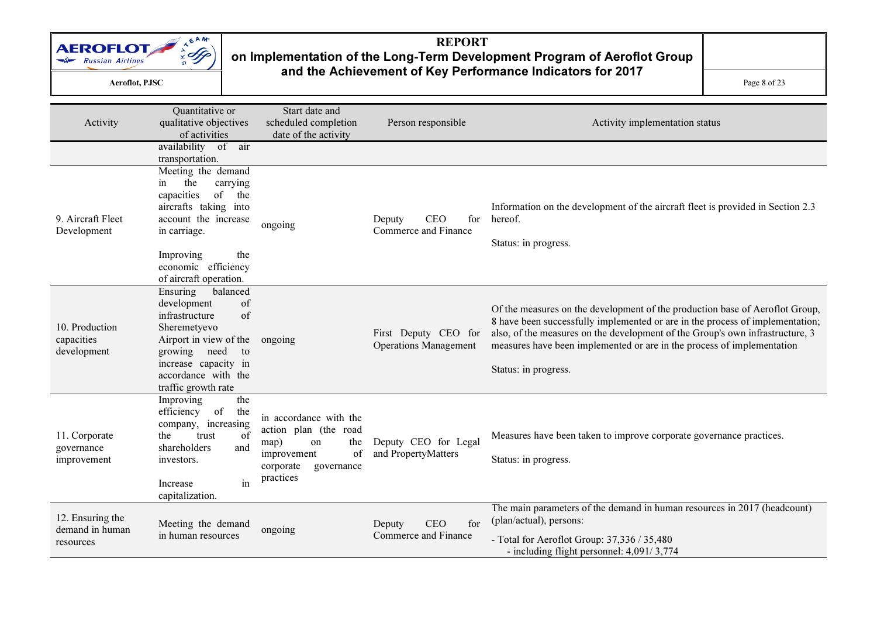

## REPORT on Implementation of the Long-Term Development Program of Aeroflot Group and the Achievement of Key Performance Indicators for 2017

 $\mathbf{C}$  Page 8 of 23

| Activity                                         | Quantitative or<br>qualitative objectives<br>of activities                                                                                                                                                   | Start date and<br>scheduled completion<br>date of the activity                                                                               | Person responsible                                   | Activity implementation status                                                                                                                                                                                                                                                                                                                   |
|--------------------------------------------------|--------------------------------------------------------------------------------------------------------------------------------------------------------------------------------------------------------------|----------------------------------------------------------------------------------------------------------------------------------------------|------------------------------------------------------|--------------------------------------------------------------------------------------------------------------------------------------------------------------------------------------------------------------------------------------------------------------------------------------------------------------------------------------------------|
|                                                  | availability of air<br>transportation.                                                                                                                                                                       |                                                                                                                                              |                                                      |                                                                                                                                                                                                                                                                                                                                                  |
| 9. Aircraft Fleet<br>Development                 | Meeting the demand<br>the<br>carrying<br>in<br>capacities<br>of<br>the<br>aircrafts taking into<br>account the increase<br>in carriage.<br>the<br>Improving<br>economic efficiency<br>of aircraft operation. | ongoing                                                                                                                                      | <b>CEO</b><br>for<br>Deputy<br>Commerce and Finance  | Information on the development of the aircraft fleet is provided in Section 2.3<br>hereof.<br>Status: in progress.                                                                                                                                                                                                                               |
| 10. Production<br>capacities<br>development      | Ensuring<br>balanced<br>development<br>of<br>of<br>infrastructure<br>Sheremetyevo<br>Airport in view of the<br>growing need<br>to<br>increase capacity in<br>accordance with the<br>traffic growth rate      | ongoing                                                                                                                                      | First Deputy CEO for<br><b>Operations Management</b> | Of the measures on the development of the production base of Aeroflot Group,<br>8 have been successfully implemented or are in the process of implementation;<br>also, of the measures on the development of the Group's own infrastructure, 3<br>measures have been implemented or are in the process of implementation<br>Status: in progress. |
| 11. Corporate<br>governance<br>improvement       | Improving<br>the<br>efficiency<br>of<br>the<br>company, increasing<br>of<br>trust<br>the<br>shareholders<br>and<br>investors.<br>in<br>Increase<br>capitalization.                                           | in accordance with the<br>action plan (the road<br>map)<br>the<br><sub>on</sub><br>of<br>improvement<br>corporate<br>governance<br>practices | Deputy CEO for Legal<br>and PropertyMatters          | Measures have been taken to improve corporate governance practices.<br>Status: in progress.                                                                                                                                                                                                                                                      |
| 12. Ensuring the<br>demand in human<br>resources | Meeting the demand<br>in human resources                                                                                                                                                                     | ongoing                                                                                                                                      | <b>CEO</b><br>for<br>Deputy<br>Commerce and Finance  | The main parameters of the demand in human resources in 2017 (headcount)<br>(plan/actual), persons:<br>- Total for Aeroflot Group: 37,336 / 35,480<br>- including flight personnel: 4,091/3,774                                                                                                                                                  |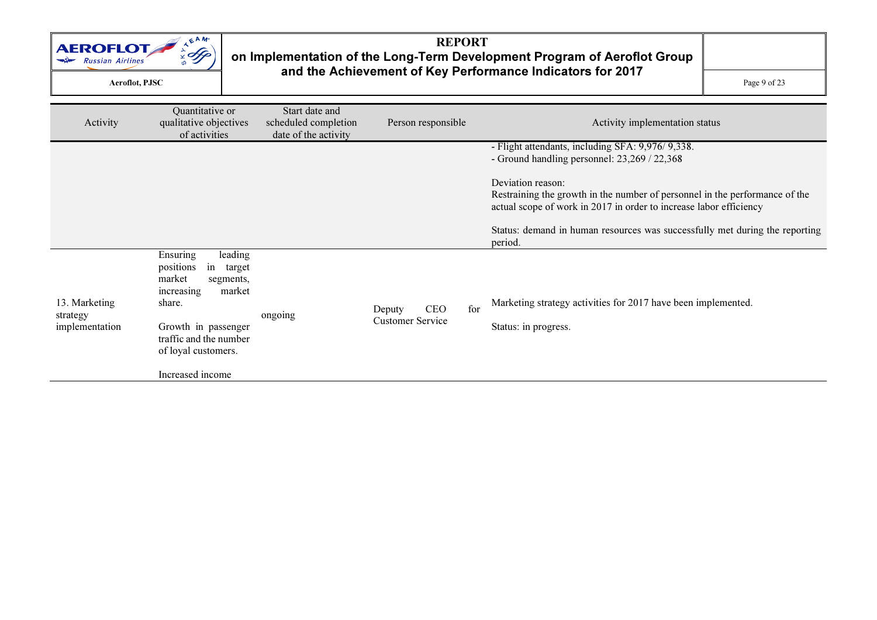

### REPORT on Implementation of the Long-Term Development Program of Aeroflot Group and the Achievement of Key Performance Indicators for 2017  $\mathbf{C}$  Page 9 of 23

| Activity                                    | Quantitative or<br>qualitative objectives<br>of activities                                                                                                                        | Start date and<br>scheduled completion<br>date of the activity | Person responsible                              | Activity implementation status                                                                                                                                         |
|---------------------------------------------|-----------------------------------------------------------------------------------------------------------------------------------------------------------------------------------|----------------------------------------------------------------|-------------------------------------------------|------------------------------------------------------------------------------------------------------------------------------------------------------------------------|
|                                             |                                                                                                                                                                                   |                                                                |                                                 | - Flight attendants, including SFA: 9,976/9,338.<br>- Ground handling personnel: 23,269 / 22,368                                                                       |
|                                             |                                                                                                                                                                                   |                                                                |                                                 | Deviation reason:<br>Restraining the growth in the number of personnel in the performance of the<br>actual scope of work in 2017 in order to increase labor efficiency |
|                                             |                                                                                                                                                                                   |                                                                |                                                 | Status: demand in human resources was successfully met during the reporting<br>period.                                                                                 |
| 13. Marketing<br>strategy<br>implementation | leading<br>Ensuring<br>positions<br>in<br>target<br>market<br>segments,<br>market<br>increasing<br>share.<br>Growth in passenger<br>traffic and the number<br>of loyal customers. | ongoing                                                        | <b>CEO</b><br>Deputy<br><b>Customer Service</b> | Marketing strategy activities for 2017 have been implemented.<br>for<br>Status: in progress.                                                                           |
|                                             | Increased income                                                                                                                                                                  |                                                                |                                                 |                                                                                                                                                                        |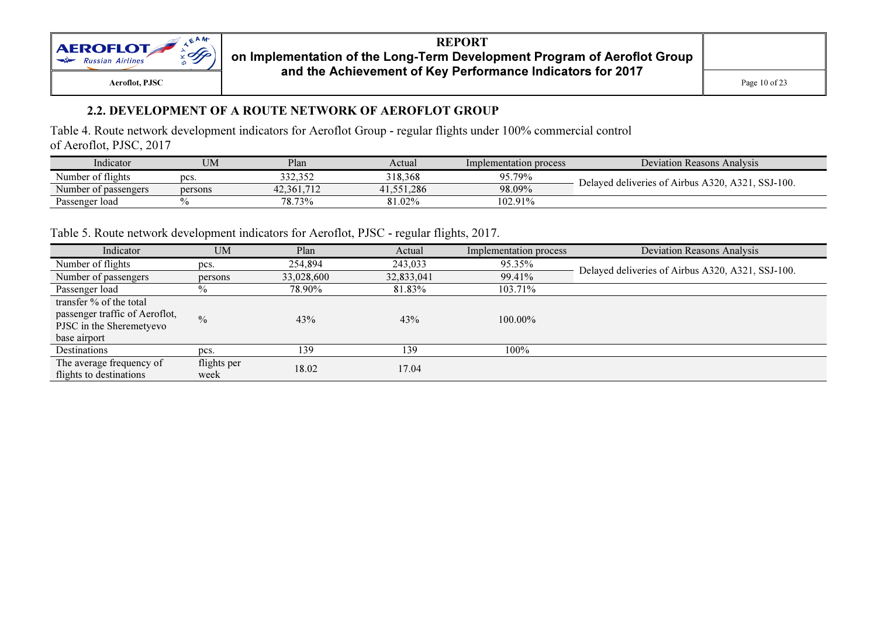

#### 2.2. DEVELOPMENT OF A ROUTE NETWORK OF AEROFLOT GROUP

Table 4. Route network development indicators for Aeroflot Group - regular flights under 100% commercial control of Aeroflot, PJSC, 2017

| Indicator                               | UM      | Plan                           | Actual  | Implementation process | Deviation<br>n Reasons Analysis                  |
|-----------------------------------------|---------|--------------------------------|---------|------------------------|--------------------------------------------------|
| $\sim \cdot$<br>Number of<br>of flights | pcs     | 332.350<br>ے تی ہے تا ہ        | 318.368 | 95.79%                 | SSJ-100.<br>320.<br>$\Lambda$ 22.                |
| Number of passengers                    | persons | 710<br>42.361<br>$\cdots$ 1.12 | 1.286   | 98.09%                 | Delaved deliveries of<br>Airbus<br>$\rightarrow$ |
| Passenger load                          |         | 78.73%                         | 81.02%  | $102.91\%$             |                                                  |

Table 5. Route network development indicators for Aeroflot, PJSC - regular flights, 2017.

| Indicator                                                                                             | <b>UM</b>           | Plan       | Actual     | Implementation process | Deviation Reasons Analysis                        |
|-------------------------------------------------------------------------------------------------------|---------------------|------------|------------|------------------------|---------------------------------------------------|
| Number of flights                                                                                     | pcs.                | 254,894    | 243,033    | 95.35%                 | Delayed deliveries of Airbus A320, A321, SSJ-100. |
| Number of passengers                                                                                  | persons             | 33,028,600 | 32,833,041 | 99.41%                 |                                                   |
| Passenger load                                                                                        | $\frac{0}{0}$       | 78.90%     | 81.83%     | 103.71%                |                                                   |
| transfer % of the total<br>passenger traffic of Aeroflot,<br>PJSC in the Sheremetyevo<br>base airport | $\frac{0}{0}$       | 43%        | 43%        | $100.00\%$             |                                                   |
| Destinations                                                                                          | pcs.                | 139        | 139        | 100%                   |                                                   |
| The average frequency of<br>flights to destinations                                                   | flights per<br>week | 18.02      | 17.04      |                        |                                                   |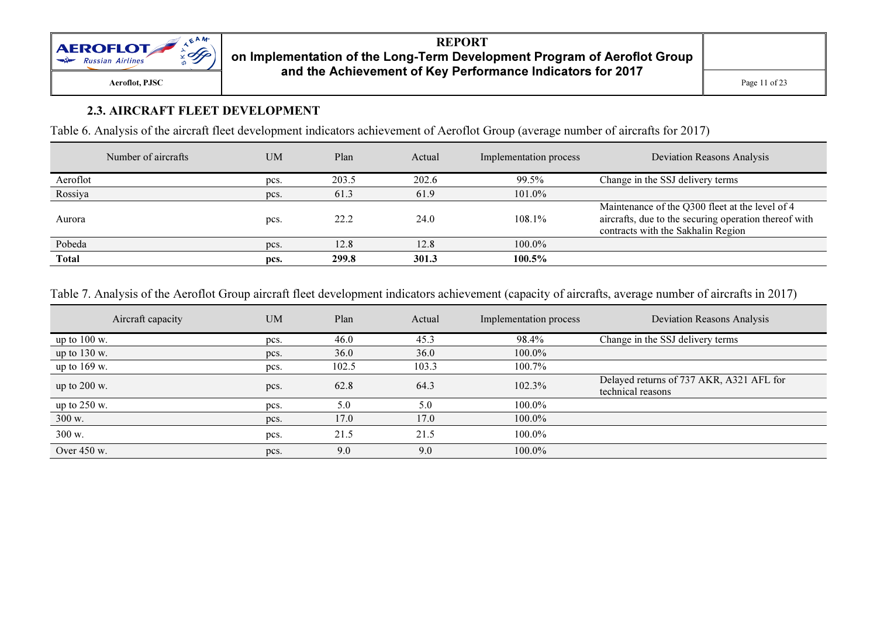

#### 2.3. AIRCRAFT FLEET DEVELOPMENT

Table 6. Analysis of the aircraft fleet development indicators achievement of Aeroflot Group (average number of aircrafts for 2017)

|          | Number of aircrafts | <b>UM</b> | Plan  | Actual | Implementation process | <b>Deviation Reasons Analysis</b>                                                                                                              |
|----------|---------------------|-----------|-------|--------|------------------------|------------------------------------------------------------------------------------------------------------------------------------------------|
| Aeroflot |                     | pcs.      | 203.5 | 202.6  | 99.5%                  | Change in the SSJ delivery terms                                                                                                               |
| Rossiya  |                     | pcs.      | 61.3  | 61.9   | 101.0%                 |                                                                                                                                                |
| Aurora   |                     | pcs.      | 22.2  | 24.0   | 108.1%                 | Maintenance of the Q300 fleet at the level of 4<br>aircrafts, due to the securing operation thereof with<br>contracts with the Sakhalin Region |
| Pobeda   |                     | pcs.      | 12.8  | 12.8   | 100.0%                 |                                                                                                                                                |
| Total    |                     | pcs.      | 299.8 | 301.3  | 100.5%                 |                                                                                                                                                |

Table 7. Analysis of the Aeroflot Group aircraft fleet development indicators achievement (capacity of aircrafts, average number of aircrafts in 2017)

| Aircraft capacity       | <b>UM</b> | Plan  | Actual | Implementation process | <b>Deviation Reasons Analysis</b>                             |
|-------------------------|-----------|-------|--------|------------------------|---------------------------------------------------------------|
| up to $100 \text{ w}$ . | pcs.      | 46.0  | 45.3   | 98.4%                  | Change in the SSJ delivery terms                              |
| up to $130$ w.          | pcs.      | 36.0  | 36.0   | 100.0%                 |                                                               |
| up to $169$ w.          | pcs.      | 102.5 | 103.3  | 100.7%                 |                                                               |
| up to 200 w.            | pcs.      | 62.8  | 64.3   | 102.3%                 | Delayed returns of 737 AKR, A321 AFL for<br>technical reasons |
| up to 250 w.            | pcs.      | 5.0   | 5.0    | $100.0\%$              |                                                               |
| 300 w.                  | pcs.      | 17.0  | 17.0   | $100.0\%$              |                                                               |
| 300 w.                  | pcs.      | 21.5  | 21.5   | 100.0%                 |                                                               |
| Over 450 w.             | pcs.      | 9.0   | 9.0    | 100.0%                 |                                                               |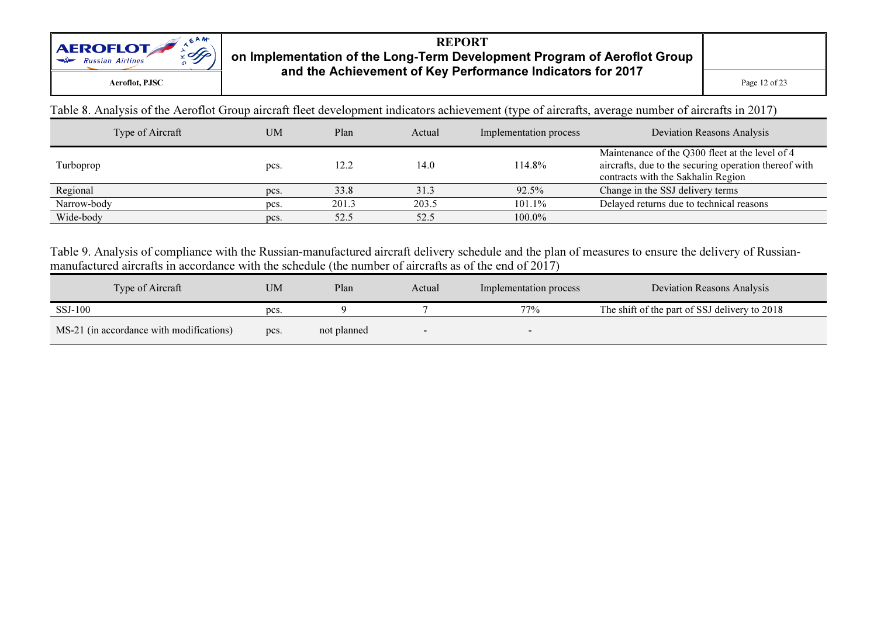

 $\mathbf{C}$  Page 12 of 23

Table 8. Analysis of the Aeroflot Group aircraft fleet development indicators achievement (type of aircrafts, average number of aircrafts in 2017)

| Type of Aircraft | <b>UM</b> | Plan  | Actual | Implementation process | Deviation Reasons Analysis                                                                                                                     |
|------------------|-----------|-------|--------|------------------------|------------------------------------------------------------------------------------------------------------------------------------------------|
| Turboprop        | pcs.      | 12.2  | 14.0   | 114.8%                 | Maintenance of the Q300 fleet at the level of 4<br>aircrafts, due to the securing operation thereof with<br>contracts with the Sakhalin Region |
| Regional         | pcs.      | 33.8  | 31.3   | 92.5%                  | Change in the SSJ delivery terms                                                                                                               |
| Narrow-body      | pcs.      | 201.3 | 203.5  | 101.1%                 | Delayed returns due to technical reasons                                                                                                       |
| Wide-body        | pcs.      | 52.5  | 52.5   | 100.0%                 |                                                                                                                                                |

Table 9. Analysis of compliance with the Russian-manufactured aircraft delivery schedule and the plan of measures to ensure the delivery of Russianmanufactured aircrafts in accordance with the schedule (the number of aircrafts as of the end of 2017)

| Type of Aircraft                         | <b>UM</b> | Plan        | Actual | Implementation process   | <b>Deviation Reasons Analysis</b>             |
|------------------------------------------|-----------|-------------|--------|--------------------------|-----------------------------------------------|
| SSJ-100                                  | pcs.      |             |        | 77%                      | The shift of the part of SSJ delivery to 2018 |
| MS-21 (in accordance with modifications) | pcs.      | not planned |        | $\overline{\phantom{0}}$ |                                               |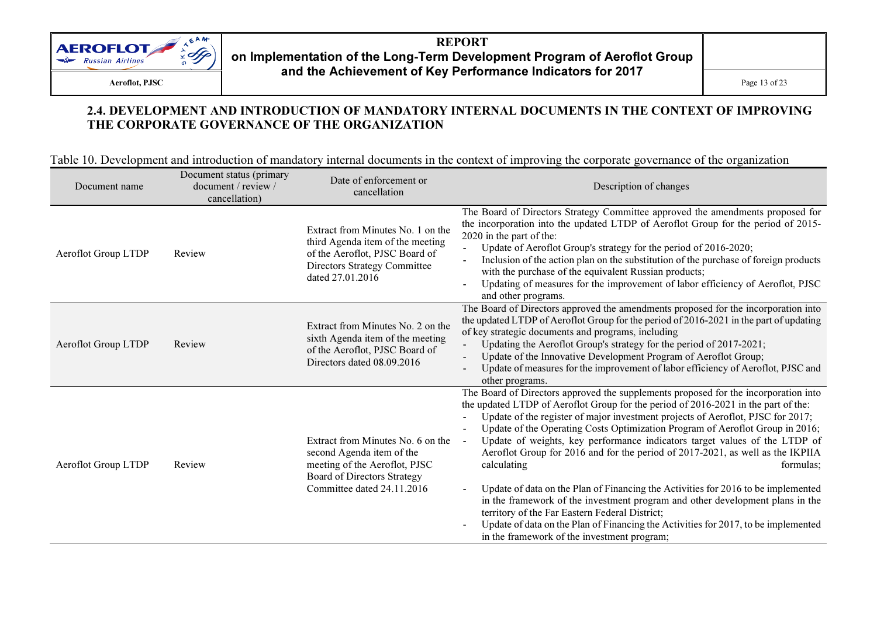

#### 2.4. DEVELOPMENT AND INTRODUCTION OF MANDATORY INTERNAL DOCUMENTS IN THE CONTEXT OF IMPROVING THE CORPORATE GOVERNANCE OF THE ORGANIZATION

Table 10. Development and introduction of mandatory internal documents in the context of improving the corporate governance of the organization

| Document name       | Document status (primary<br>document / review /<br>cancellation) | Date of enforcement or<br>cancellation                                                                                                                              | Description of changes                                                                                                                                                                                                                                                                                                                                                                                                                                                                                                                                                                                                                                                                                                                                                                                                                                                                                 |
|---------------------|------------------------------------------------------------------|---------------------------------------------------------------------------------------------------------------------------------------------------------------------|--------------------------------------------------------------------------------------------------------------------------------------------------------------------------------------------------------------------------------------------------------------------------------------------------------------------------------------------------------------------------------------------------------------------------------------------------------------------------------------------------------------------------------------------------------------------------------------------------------------------------------------------------------------------------------------------------------------------------------------------------------------------------------------------------------------------------------------------------------------------------------------------------------|
| Aeroflot Group LTDP | Review                                                           | Extract from Minutes No. 1 on the<br>third Agenda item of the meeting<br>of the Aeroflot, PJSC Board of<br>Directors Strategy Committee<br>dated 27.01.2016         | The Board of Directors Strategy Committee approved the amendments proposed for<br>the incorporation into the updated LTDP of Aeroflot Group for the period of 2015-<br>2020 in the part of the:<br>Update of Aeroflot Group's strategy for the period of 2016-2020;<br>Inclusion of the action plan on the substitution of the purchase of foreign products<br>with the purchase of the equivalent Russian products;<br>Updating of measures for the improvement of labor efficiency of Aeroflot, PJSC<br>and other programs.                                                                                                                                                                                                                                                                                                                                                                          |
| Aeroflot Group LTDP | Review                                                           | Extract from Minutes No. 2 on the<br>sixth Agenda item of the meeting<br>of the Aeroflot, PJSC Board of<br>Directors dated 08.09.2016                               | The Board of Directors approved the amendments proposed for the incorporation into<br>the updated LTDP of Aeroflot Group for the period of 2016-2021 in the part of updating<br>of key strategic documents and programs, including<br>Updating the Aeroflot Group's strategy for the period of 2017-2021;<br>Update of the Innovative Development Program of Aeroflot Group;<br>Update of measures for the improvement of labor efficiency of Aeroflot, PJSC and<br>other programs.                                                                                                                                                                                                                                                                                                                                                                                                                    |
| Aeroflot Group LTDP | Review                                                           | Extract from Minutes No. 6 on the<br>second Agenda item of the<br>meeting of the Aeroflot, PJSC<br><b>Board of Directors Strategy</b><br>Committee dated 24.11.2016 | The Board of Directors approved the supplements proposed for the incorporation into<br>the updated LTDP of Aeroflot Group for the period of 2016-2021 in the part of the:<br>Update of the register of major investment projects of Aeroflot, PJSC for 2017;<br>Update of the Operating Costs Optimization Program of Aeroflot Group in 2016;<br>Update of weights, key performance indicators target values of the LTDP of<br>Aeroflot Group for 2016 and for the period of 2017-2021, as well as the IKPIIA<br>calculating<br>formulas;<br>Update of data on the Plan of Financing the Activities for 2016 to be implemented<br>in the framework of the investment program and other development plans in the<br>territory of the Far Eastern Federal District;<br>Update of data on the Plan of Financing the Activities for 2017, to be implemented<br>in the framework of the investment program; |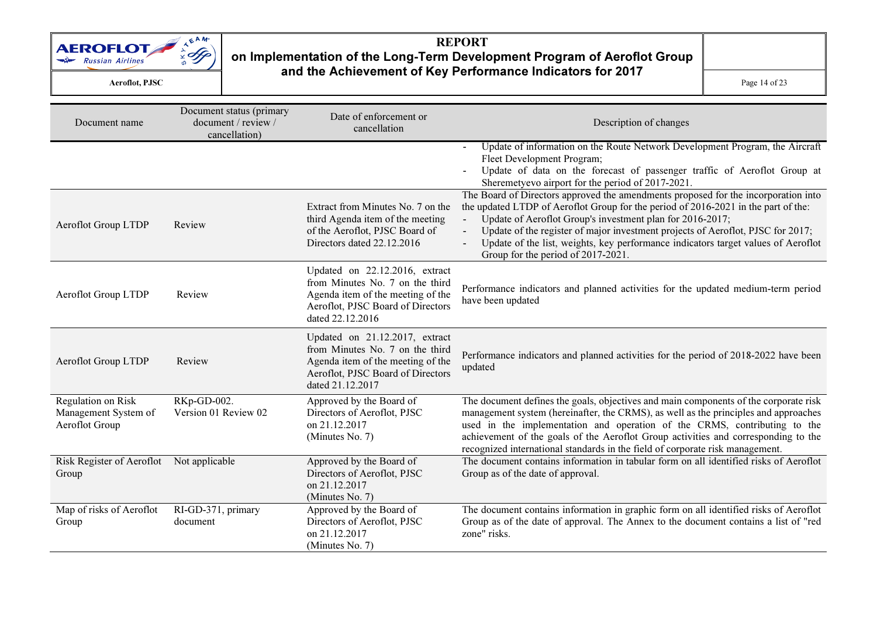

### REPORT on Implementation of the Long-Term Development Program of Aeroflot Group and the Achievement of Key Performance Indicators for 2017  $\mathbf{C}$  Page 14 of 23

| Document name                                                | Document status (primary<br>document / review /<br>cancellation) | Date of enforcement or<br>cancellation                                                                                                                          | Description of changes                                                                                                                                                                                                                                                                                                                                                                                                                                                |
|--------------------------------------------------------------|------------------------------------------------------------------|-----------------------------------------------------------------------------------------------------------------------------------------------------------------|-----------------------------------------------------------------------------------------------------------------------------------------------------------------------------------------------------------------------------------------------------------------------------------------------------------------------------------------------------------------------------------------------------------------------------------------------------------------------|
|                                                              |                                                                  |                                                                                                                                                                 | Update of information on the Route Network Development Program, the Aircraft<br>$\sim$ $-$<br>Fleet Development Program;<br>Update of data on the forecast of passenger traffic of Aeroflot Group at<br>Sheremetyevo airport for the period of 2017-2021.                                                                                                                                                                                                             |
| Aeroflot Group LTDP                                          | Review                                                           | Extract from Minutes No. 7 on the<br>third Agenda item of the meeting<br>of the Aeroflot, PJSC Board of<br>Directors dated 22.12.2016                           | The Board of Directors approved the amendments proposed for the incorporation into<br>the updated LTDP of Aeroflot Group for the period of 2016-2021 in the part of the:<br>Update of Aeroflot Group's investment plan for 2016-2017;<br>Update of the register of major investment projects of Aeroflot, PJSC for 2017;<br>$\blacksquare$<br>Update of the list, weights, key performance indicators target values of Aeroflot<br>Group for the period of 2017-2021. |
| Aeroflot Group LTDP                                          | Review                                                           | Updated on 22.12.2016, extract<br>from Minutes No. 7 on the third<br>Agenda item of the meeting of the<br>Aeroflot, PJSC Board of Directors<br>dated 22.12.2016 | Performance indicators and planned activities for the updated medium-term period<br>have been updated                                                                                                                                                                                                                                                                                                                                                                 |
| Aeroflot Group LTDP                                          | Review                                                           | Updated on 21.12.2017, extract<br>from Minutes No. 7 on the third<br>Agenda item of the meeting of the<br>Aeroflot, PJSC Board of Directors<br>dated 21.12.2017 | Performance indicators and planned activities for the period of 2018-2022 have been<br>updated                                                                                                                                                                                                                                                                                                                                                                        |
| Regulation on Risk<br>Management System of<br>Aeroflot Group | RKp-GD-002.<br>Version 01 Review 02                              | Approved by the Board of<br>Directors of Aeroflot, PJSC<br>on 21.12.2017<br>(Minutes No. 7)                                                                     | The document defines the goals, objectives and main components of the corporate risk<br>management system (hereinafter, the CRMS), as well as the principles and approaches<br>used in the implementation and operation of the CRMS, contributing to the<br>achievement of the goals of the Aeroflot Group activities and corresponding to the<br>recognized international standards in the field of corporate risk management.                                       |
| Risk Register of Aeroflot Not applicable<br>Group            |                                                                  | Approved by the Board of<br>Directors of Aeroflot, PJSC<br>on 21.12.2017<br>(Minutes No. 7)                                                                     | The document contains information in tabular form on all identified risks of Aeroflot<br>Group as of the date of approval.                                                                                                                                                                                                                                                                                                                                            |
| Map of risks of Aeroflot<br>Group                            | RI-GD-371, primary<br>document                                   | Approved by the Board of<br>Directors of Aeroflot, PJSC<br>on 21.12.2017<br>(Minutes No. 7)                                                                     | The document contains information in graphic form on all identified risks of Aeroflot<br>Group as of the date of approval. The Annex to the document contains a list of "red<br>zone" risks.                                                                                                                                                                                                                                                                          |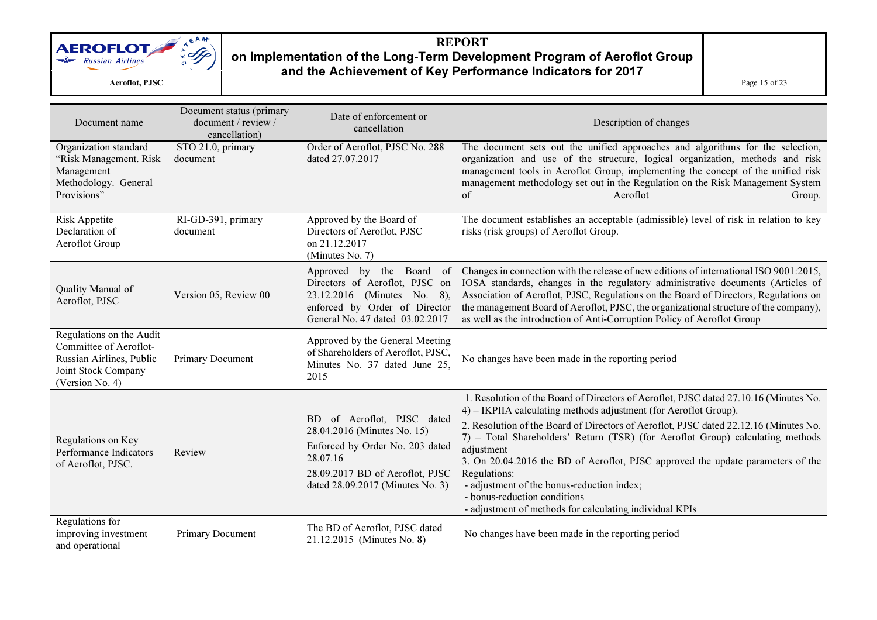

Aeroflot, PJSC

 $\mathbf{C}$  Page 15 of 23

| Document name                                                                                                            | Document status (primary<br>document / review /<br>cancellation) | Date of enforcement or<br>cancellation                                                                                                                                          | Description of changes                                                                                                                                                                                                                                                                                                                                                                                                                                                                                                                                                                         |
|--------------------------------------------------------------------------------------------------------------------------|------------------------------------------------------------------|---------------------------------------------------------------------------------------------------------------------------------------------------------------------------------|------------------------------------------------------------------------------------------------------------------------------------------------------------------------------------------------------------------------------------------------------------------------------------------------------------------------------------------------------------------------------------------------------------------------------------------------------------------------------------------------------------------------------------------------------------------------------------------------|
| Organization standard<br>"Risk Management. Risk<br>Management<br>Methodology. General<br>Provisions"                     | STO 21.0, primary<br>document                                    | Order of Aeroflot, PJSC No. 288<br>dated 27.07.2017                                                                                                                             | The document sets out the unified approaches and algorithms for the selection,<br>organization and use of the structure, logical organization, methods and risk<br>management tools in Aeroflot Group, implementing the concept of the unified risk<br>management methodology set out in the Regulation on the Risk Management System<br>of<br>Aeroflot<br>Group.                                                                                                                                                                                                                              |
| <b>Risk Appetite</b><br>Declaration of<br>Aeroflot Group                                                                 | RI-GD-391, primary<br>document                                   | Approved by the Board of<br>Directors of Aeroflot, PJSC<br>on 21.12.2017<br>(Minutes No. 7)                                                                                     | The document establishes an acceptable (admissible) level of risk in relation to key<br>risks (risk groups) of Aeroflot Group.                                                                                                                                                                                                                                                                                                                                                                                                                                                                 |
| Quality Manual of<br>Aeroflot, PJSC                                                                                      | Version 05, Review 00                                            | Approved by the Board<br>of<br>Directors of Aeroflot, PJSC on<br>23.12.2016 (Minutes No. 8),<br>enforced by Order of Director<br>General No. 47 dated 03.02.2017                | Changes in connection with the release of new editions of international ISO 9001:2015,<br>IOSA standards, changes in the regulatory administrative documents (Articles of<br>Association of Aeroflot, PJSC, Regulations on the Board of Directors, Regulations on<br>the management Board of Aeroflot, PJSC, the organizational structure of the company),<br>as well as the introduction of Anti-Corruption Policy of Aeroflot Group                                                                                                                                                          |
| Regulations on the Audit<br>Committee of Aeroflot-<br>Russian Airlines, Public<br>Joint Stock Company<br>(Version No. 4) | Primary Document                                                 | Approved by the General Meeting<br>of Shareholders of Aeroflot, PJSC,<br>Minutes No. 37 dated June 25,<br>2015                                                                  | No changes have been made in the reporting period                                                                                                                                                                                                                                                                                                                                                                                                                                                                                                                                              |
| Regulations on Key<br>Performance Indicators<br>of Aeroflot, PJSC.                                                       | Review                                                           | BD of Aeroflot, PJSC dated<br>28.04.2016 (Minutes No. 15)<br>Enforced by Order No. 203 dated<br>28.07.16<br>28.09.2017 BD of Aeroflot, PJSC<br>dated 28.09.2017 (Minutes No. 3) | 1. Resolution of the Board of Directors of Aeroflot, PJSC dated 27.10.16 (Minutes No.<br>4) – IKPIIA calculating methods adjustment (for Aeroflot Group).<br>2. Resolution of the Board of Directors of Aeroflot, PJSC dated 22.12.16 (Minutes No.<br>7) - Total Shareholders' Return (TSR) (for Aeroflot Group) calculating methods<br>adjustment<br>3. On 20.04.2016 the BD of Aeroflot, PJSC approved the update parameters of the<br>Regulations:<br>- adjustment of the bonus-reduction index;<br>- bonus-reduction conditions<br>- adjustment of methods for calculating individual KPIs |
| Regulations for<br>improving investment<br>and operational                                                               | Primary Document                                                 | The BD of Aeroflot, PJSC dated<br>21.12.2015 (Minutes No. 8)                                                                                                                    | No changes have been made in the reporting period                                                                                                                                                                                                                                                                                                                                                                                                                                                                                                                                              |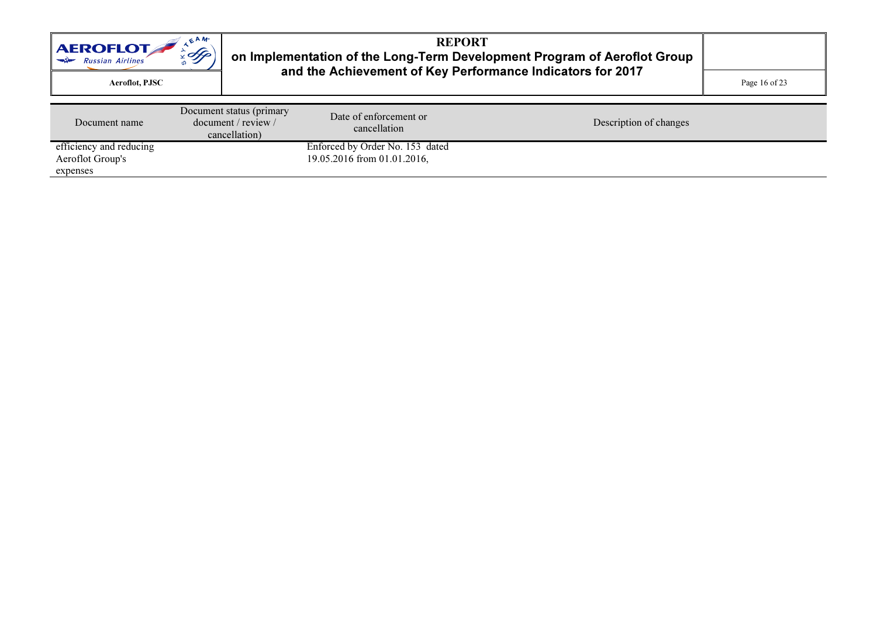| $E^{AM}$<br><b>AEROFLOT</b><br>$\mathscr{A}_{\mathscr{F}}$<br>$\Rightarrow$ Russian Airlines<br>Aeroflot, PJSC |  |                                                                  | <b>REPORT</b><br>on Implementation of the Long-Term Development Program of Aeroflot Group<br>and the Achievement of Key Performance Indicators for 2017 | Page 16 of 23          |  |
|----------------------------------------------------------------------------------------------------------------|--|------------------------------------------------------------------|---------------------------------------------------------------------------------------------------------------------------------------------------------|------------------------|--|
| Document name                                                                                                  |  | Document status (primary<br>document / review /<br>cancellation) | Date of enforcement or<br>cancellation                                                                                                                  | Description of changes |  |
| efficiency and reducing<br>Aeroflot Group's<br>expenses                                                        |  |                                                                  | Enforced by Order No. 153 dated<br>19.05.2016 from 01.01.2016,                                                                                          |                        |  |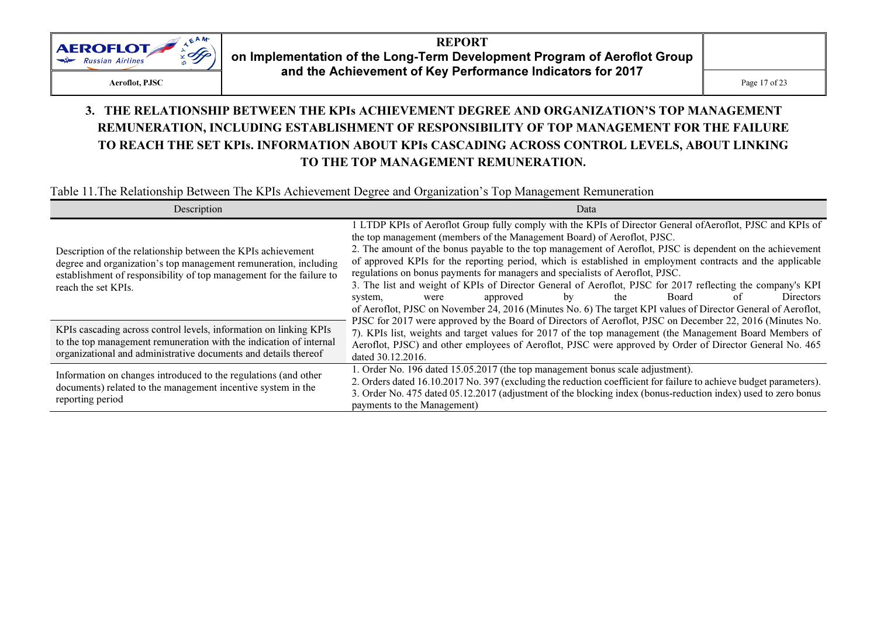

#### 3. THE RELATIONSHIP BETWEEN THE KPIs ACHIEVEMENT DEGREE AND ORGANIZATION'S TOP MANAGEMENT REMUNERATION, INCLUDING ESTABLISHMENT OF RESPONSIBILITY OF TOP MANAGEMENT FOR THE FAILURE TO REACH THE SET KPIs. INFORMATION ABOUT KPIs CASCADING ACROSS CONTROL LEVELS, ABOUT LINKING TO THE TOP MANAGEMENT REMUNERATION.

#### Table 11.The Relationship Between The KPIs Achievement Degree and Organization's Top Management Remuneration

| Description                                                                                                                                                                                                                     | Data                                                                                                                                                                                                                                                                                                                                                                                                                                                                                                                                                                                                                                                                                                                                                                                                      |
|---------------------------------------------------------------------------------------------------------------------------------------------------------------------------------------------------------------------------------|-----------------------------------------------------------------------------------------------------------------------------------------------------------------------------------------------------------------------------------------------------------------------------------------------------------------------------------------------------------------------------------------------------------------------------------------------------------------------------------------------------------------------------------------------------------------------------------------------------------------------------------------------------------------------------------------------------------------------------------------------------------------------------------------------------------|
| Description of the relationship between the KPIs achievement<br>degree and organization's top management remuneration, including<br>establishment of responsibility of top management for the failure to<br>reach the set KPIs. | 1 LTDP KPIs of Aeroflot Group fully comply with the KPIs of Director General of Aeroflot, PJSC and KPIs of<br>the top management (members of the Management Board) of Aeroflot, PJSC.<br>2. The amount of the bonus payable to the top management of Aeroflot, PJSC is dependent on the achievement<br>of approved KPIs for the reporting period, which is established in employment contracts and the applicable<br>regulations on bonus payments for managers and specialists of Aeroflot, PJSC.<br>3. The list and weight of KPIs of Director General of Aeroflot, PJSC for 2017 reflecting the company's KPI<br>Directors<br>Board<br>approved<br>the<br>of<br>bv<br>system,<br>were<br>of Aeroflot, PJSC on November 24, 2016 (Minutes No. 6) The target KPI values of Director General of Aeroflot, |
| KPIs cascading across control levels, information on linking KPIs<br>to the top management remuneration with the indication of internal<br>organizational and administrative documents and details thereof                      | PJSC for 2017 were approved by the Board of Directors of Aeroflot, PJSC on December 22, 2016 (Minutes No.<br>7). KPIs list, weights and target values for 2017 of the top management (the Management Board Members of<br>Aeroflot, PJSC) and other employees of Aeroflot, PJSC were approved by Order of Director General No. 465<br>dated 30.12.2016.                                                                                                                                                                                                                                                                                                                                                                                                                                                    |
| Information on changes introduced to the regulations (and other<br>documents) related to the management incentive system in the<br>reporting period                                                                             | 1. Order No. 196 dated 15.05.2017 (the top management bonus scale adjustment).<br>2. Orders dated 16.10.2017 No. 397 (excluding the reduction coefficient for failure to achieve budget parameters).<br>3. Order No. 475 dated 05.12.2017 (adjustment of the blocking index (bonus-reduction index) used to zero bonus<br>payments to the Management)                                                                                                                                                                                                                                                                                                                                                                                                                                                     |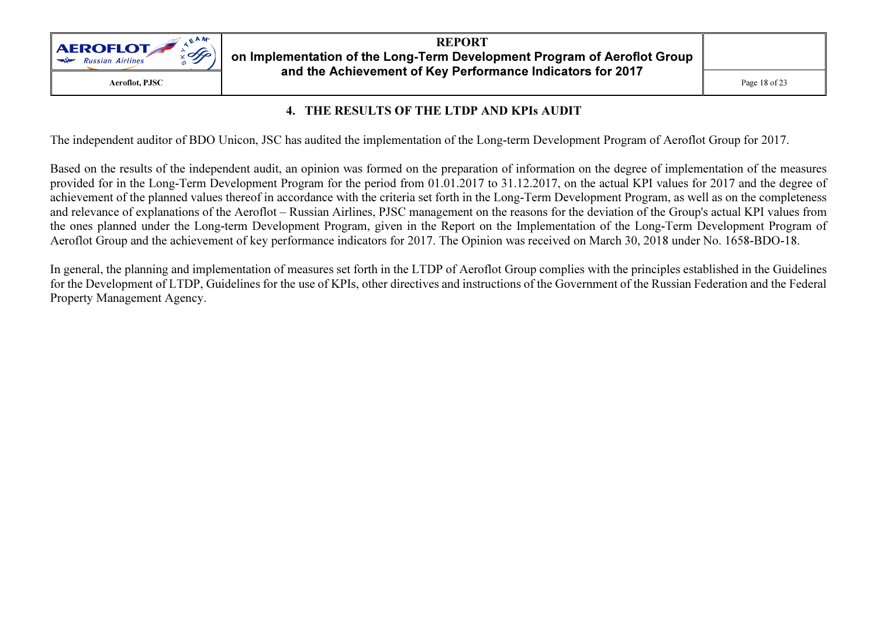

#### 4. THE RESULTS OF THE LTDP AND KPIs AUDIT

The independent auditor of BDO Unicon, JSC has audited the implementation of the Long-term Development Program of Aeroflot Group for 2017.

Based on the results of the independent audit, an opinion was formed on the preparation of information on the degree of implementation of the measures provided for in the Long-Term Development Program for the period from 01.01.2017 to 31.12.2017, on the actual KPI values for 2017 and the degree of achievement of the planned values thereof in accordance with the criteria set forth in the Long-Term Development Program, as well as on the completeness and relevance of explanations of the Aeroflot – Russian Airlines, PJSC management on the reasons for the deviation of the Group's actual KPI values from the ones planned under the Long-term Development Program, given in the Report on the Implementation of the Long-Term Development Program ofAeroflot Group and the achievement of key performance indicators for 2017. The Opinion was received on March 30, 2018 under No. 1658-BDO-18.

In general, the planning and implementation of measures set forth in the LTDP of Aeroflot Group complies with the principles established in the Guidelines for the Development of LTDP, Guidelines for the use of KPIs, other directives and instructions of the Government of the Russian Federation and the Federal Property Management Agency.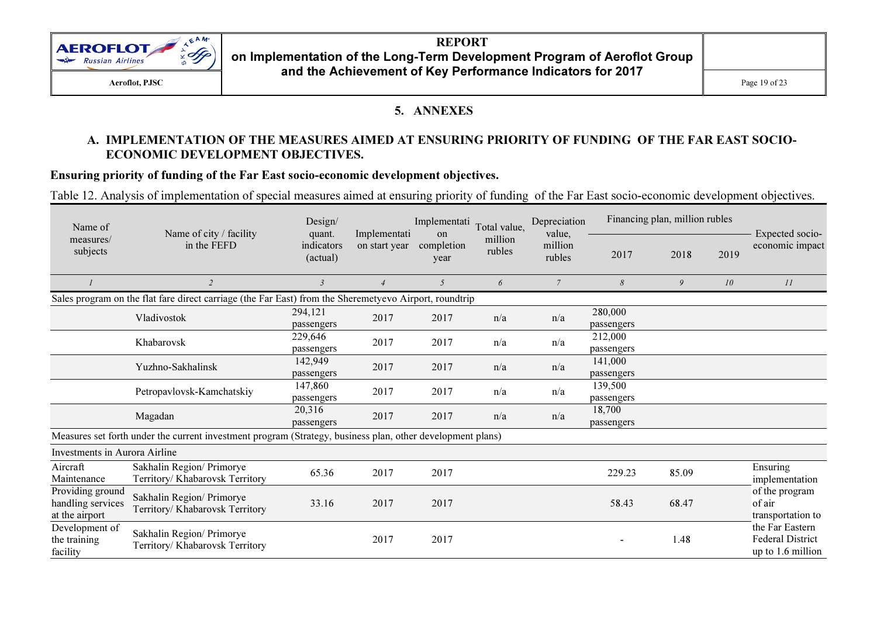

#### REPORT on Implementation of the Long-Term Development Program of Aeroflot Group and the Achievement of Key Performance Indicators for 2017

 $\mathbf{C}$  Page 19 of 23

#### 5. ANNEXES

#### А. IMPLEMENTATION OF THE MEASURES AIMED AT ENSURING PRIORITY OF FUNDING OF THE FAR EAST SOCIO-ECONOMIC DEVELOPMENT OBJECTIVES.

#### Ensuring priority of funding of the Far East socio-economic development objectives.

Table 12. Analysis of implementation of special measures aimed at ensuring priority of funding of the Far East socio-economic development objectives.

| Name of                                                 | Name of city / facility                                                                                    | Design/<br>Implementati<br>quant. |                | Implementati<br>Total value,<br>on |                   | Depreciation                | Financing plan, million rubles |       |      | Expected socio-                                                 |
|---------------------------------------------------------|------------------------------------------------------------------------------------------------------------|-----------------------------------|----------------|------------------------------------|-------------------|-----------------------------|--------------------------------|-------|------|-----------------------------------------------------------------|
| measures/<br>subjects                                   | in the FEFD                                                                                                | indicators<br>(actual)            | on start year  | completion<br>year                 | million<br>rubles | value,<br>million<br>rubles | 2017                           | 2018  | 2019 | economic impact                                                 |
|                                                         | 2                                                                                                          | $\mathfrak{Z}$                    | $\overline{4}$ | 5 <sup>5</sup>                     | 6                 | $\overline{7}$              | 8                              | 9     | 10   | II                                                              |
|                                                         | Sales program on the flat fare direct carriage (the Far East) from the Sheremetyevo Airport, roundtrip     |                                   |                |                                    |                   |                             |                                |       |      |                                                                 |
|                                                         | Vladivostok                                                                                                | 294,121<br>passengers             | 2017           | 2017                               | n/a               | n/a                         | 280,000<br>passengers          |       |      |                                                                 |
|                                                         | Khabarovsk                                                                                                 | 229,646<br>passengers             | 2017           | 2017                               | n/a               | n/a                         | 212,000<br>passengers          |       |      |                                                                 |
|                                                         | Yuzhno-Sakhalinsk                                                                                          | 142,949<br>passengers             | 2017           | 2017                               | n/a               | n/a                         | 141,000<br>passengers          |       |      |                                                                 |
|                                                         | Petropavlovsk-Kamchatskiy                                                                                  | 147,860<br>passengers             | 2017           | 2017                               | n/a               | n/a                         | 139,500<br>passengers          |       |      |                                                                 |
|                                                         | Magadan                                                                                                    | 20,316<br>passengers              | 2017           | 2017                               | n/a               | n/a                         | 18,700<br>passengers           |       |      |                                                                 |
|                                                         | Measures set forth under the current investment program (Strategy, business plan, other development plans) |                                   |                |                                    |                   |                             |                                |       |      |                                                                 |
| Investments in Aurora Airline                           |                                                                                                            |                                   |                |                                    |                   |                             |                                |       |      |                                                                 |
| Aircraft<br>Maintenance                                 | Sakhalin Region/ Primorye<br>Territory/ Khabarovsk Territory                                               | 65.36                             | 2017           | 2017                               |                   |                             | 229.23                         | 85.09 |      | Ensuring<br>implementation                                      |
| Providing ground<br>handling services<br>at the airport | Sakhalin Region/ Primorye<br>Territory/ Khabarovsk Territory                                               | 33.16                             | 2017           | 2017                               |                   |                             | 58.43                          | 68.47 |      | of the program<br>of air<br>transportation to                   |
| Development of<br>the training<br>facility              | Sakhalin Region/ Primorye<br>Territory/ Khabarovsk Territory                                               |                                   | 2017           | 2017                               |                   |                             | $\overline{\phantom{a}}$       | 1.48  |      | the Far Eastern<br><b>Federal District</b><br>up to 1.6 million |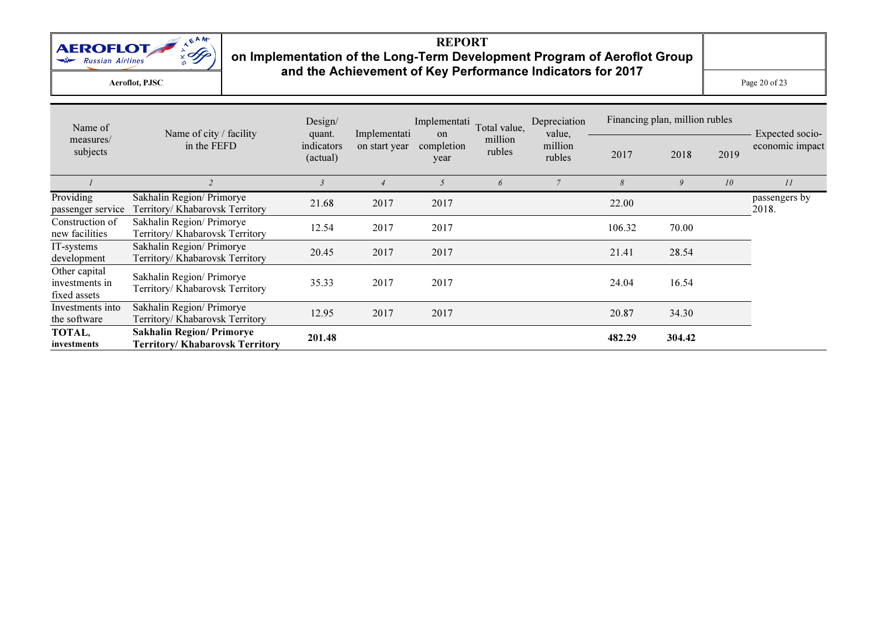

Aeroflot, PJSC

 $\mathbf{C}$  Page 20 of 23

| Name of                                         | Name of city / facility                                             | Design/<br>quant.      | Implementati   | Implementati<br><sub>on</sub> | Total value,      | Depreciation<br>value, |        | Financing plan, million rubles |      | Expected socio-        |
|-------------------------------------------------|---------------------------------------------------------------------|------------------------|----------------|-------------------------------|-------------------|------------------------|--------|--------------------------------|------|------------------------|
| measures/<br>subjects                           | in the FEFD                                                         | indicators<br>(actual) | on start year  | completion<br>year            | million<br>rubles | million<br>rubles      | 2017   | 2018                           | 2019 | economic impact        |
|                                                 |                                                                     | $\overline{3}$         | $\overline{4}$ | 5                             | 6                 | $\overline{7}$         | 8      | 9                              | 10   | II                     |
| Providing<br>passenger service                  | Sakhalin Region/ Primorye<br>Territory/ Khabarovsk Territory        | 21.68                  | 2017           | 2017                          |                   |                        | 22.00  |                                |      | passengers by<br>2018. |
| Construction of<br>new facilities               | Sakhalin Region/ Primorye<br>Territory/ Khabarovsk Territory        | 12.54                  | 2017           | 2017                          |                   |                        | 106.32 | 70.00                          |      |                        |
| IT-systems<br>development                       | Sakhalin Region/ Primorye<br>Territory/ Khabarovsk Territory        | 20.45                  | 2017           | 2017                          |                   |                        | 21.41  | 28.54                          |      |                        |
| Other capital<br>investments in<br>fixed assets | Sakhalin Region/ Primorye<br>Territory/ Khabarovsk Territory        | 35.33                  | 2017           | 2017                          |                   |                        | 24.04  | 16.54                          |      |                        |
| Investments into<br>the software                | Sakhalin Region/ Primorye<br>Territory/ Khabarovsk Territory        | 12.95                  | 2017           | 2017                          |                   |                        | 20.87  | 34.30                          |      |                        |
| TOTAL,<br>investments                           | <b>Sakhalin Region/ Primorye</b><br>Territory/ Khabarovsk Territory | 201.48                 |                |                               |                   |                        | 482.29 | 304.42                         |      |                        |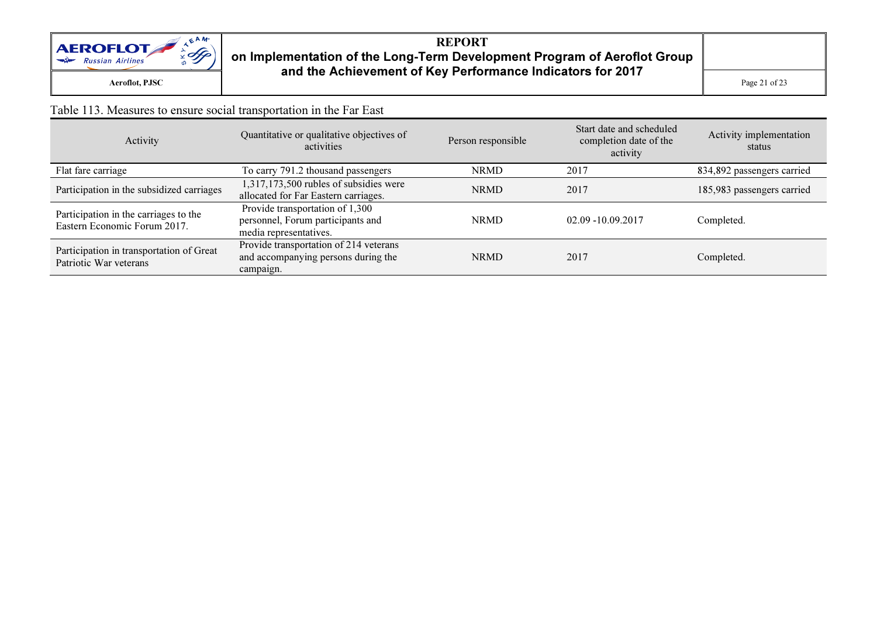

## REPORT on Implementation of the Long-Term Development Program of Aeroflot Group and the Achievement of Key Performance Indicators for 2017

 $\mathbf{C}$  Page 21 of 23

#### Table 113. Measures to ensure social transportation in the Far East

| Activity                                                              | Quantitative or qualitative objectives of<br>activities                                        | Person responsible | Start date and scheduled<br>completion date of the<br>activity | Activity implementation<br>status |
|-----------------------------------------------------------------------|------------------------------------------------------------------------------------------------|--------------------|----------------------------------------------------------------|-----------------------------------|
| Flat fare carriage                                                    | To carry 791.2 thousand passengers                                                             | <b>NRMD</b>        | 2017                                                           | 834,892 passengers carried        |
| Participation in the subsidized carriages                             | $1,317,173,500$ rubles of subsidies were<br>allocated for Far Eastern carriages.               | <b>NRMD</b>        | 2017                                                           | 185,983 passengers carried        |
| Participation in the carriages to the<br>Eastern Economic Forum 2017. | Provide transportation of 1,300<br>personnel, Forum participants and<br>media representatives. | <b>NRMD</b>        | 02.09 -10.09.2017                                              | Completed.                        |
| Participation in transportation of Great<br>Patriotic War veterans    | Provide transportation of 214 veterans<br>and accompanying persons during the<br>campaign.     | <b>NRMD</b>        | 2017                                                           | Completed.                        |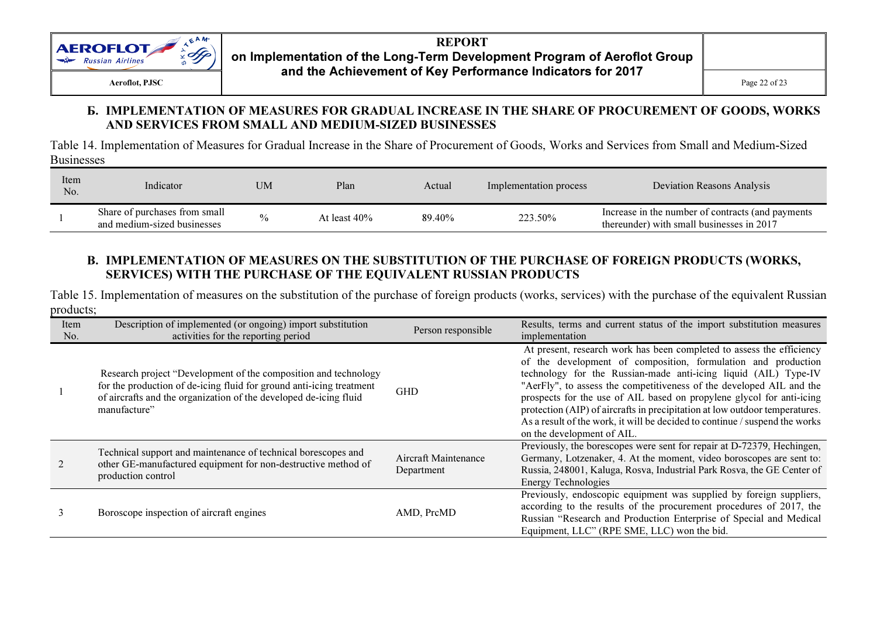

#### Б. IMPLEMENTATION OF MEASURES FOR GRADUAL INCREASE IN THE SHARE OF PROCUREMENT OF GOODS, WORKS AND SERVICES FROM SMALL AND MEDIUM-SIZED BUSINESSES

Table 14. Implementation of Measures for Gradual Increase in the Share of Procurement of Goods, Works and Services from Small and Medium-Sized Businesses

| Item<br>No. | Indicator                                                    | <b>UM</b> | Plan            | Actual | Implementation process | Deviation Reasons Analysis                                                                     |
|-------------|--------------------------------------------------------------|-----------|-----------------|--------|------------------------|------------------------------------------------------------------------------------------------|
|             | Share of purchases from small<br>and medium-sized businesses | 0/2       | At least $40\%$ | 89.40% | 223.50%                | Increase in the number of contracts (and payments<br>thereunder) with small businesses in 2017 |

#### В. IMPLEMENTATION OF MEASURES ON THE SUBSTITUTION OF THE PURCHASE OF FOREIGN PRODUCTS (WORKS, SERVICES) WITH THE PURCHASE OF THE EQUIVALENT RUSSIAN PRODUCTS

Table 15. Implementation of measures on the substitution of the purchase of foreign products (works, services) with the purchase of the equivalent Russian products;

| Item<br>No. | Description of implemented (or ongoing) import substitution<br>activities for the reporting period                                                                                                                           | Person responsible                 | Results, terms and current status of the import substitution measures<br>implementation                                                                                                                                                                                                                                                                                                                                                                                                                                                                |
|-------------|------------------------------------------------------------------------------------------------------------------------------------------------------------------------------------------------------------------------------|------------------------------------|--------------------------------------------------------------------------------------------------------------------------------------------------------------------------------------------------------------------------------------------------------------------------------------------------------------------------------------------------------------------------------------------------------------------------------------------------------------------------------------------------------------------------------------------------------|
|             | Research project "Development of the composition and technology<br>for the production of de-icing fluid for ground anti-icing treatment<br>of aircrafts and the organization of the developed de-icing fluid<br>manufacture" | <b>GHD</b>                         | At present, research work has been completed to assess the efficiency<br>of the development of composition, formulation and production<br>technology for the Russian-made anti-icing liquid (AIL) Type-IV<br>"AerFly", to assess the competitiveness of the developed AIL and the<br>prospects for the use of AIL based on propylene glycol for anti-icing<br>protection (AIP) of aircrafts in precipitation at low outdoor temperatures.<br>As a result of the work, it will be decided to continue / suspend the works<br>on the development of AIL. |
|             | Technical support and maintenance of technical borescopes and<br>other GE-manufactured equipment for non-destructive method of<br>production control                                                                         | Aircraft Maintenance<br>Department | Previously, the borescopes were sent for repair at D-72379, Hechingen,<br>Germany, Lotzenaker, 4. At the moment, video boroscopes are sent to:<br>Russia, 248001, Kaluga, Rosva, Industrial Park Rosva, the GE Center of<br><b>Energy Technologies</b>                                                                                                                                                                                                                                                                                                 |
|             | Boroscope inspection of aircraft engines                                                                                                                                                                                     | AMD, PrcMD                         | Previously, endoscopic equipment was supplied by foreign suppliers,<br>according to the results of the procurement procedures of 2017, the<br>Russian "Research and Production Enterprise of Special and Medical<br>Equipment, LLC" (RPE SME, LLC) won the bid.                                                                                                                                                                                                                                                                                        |